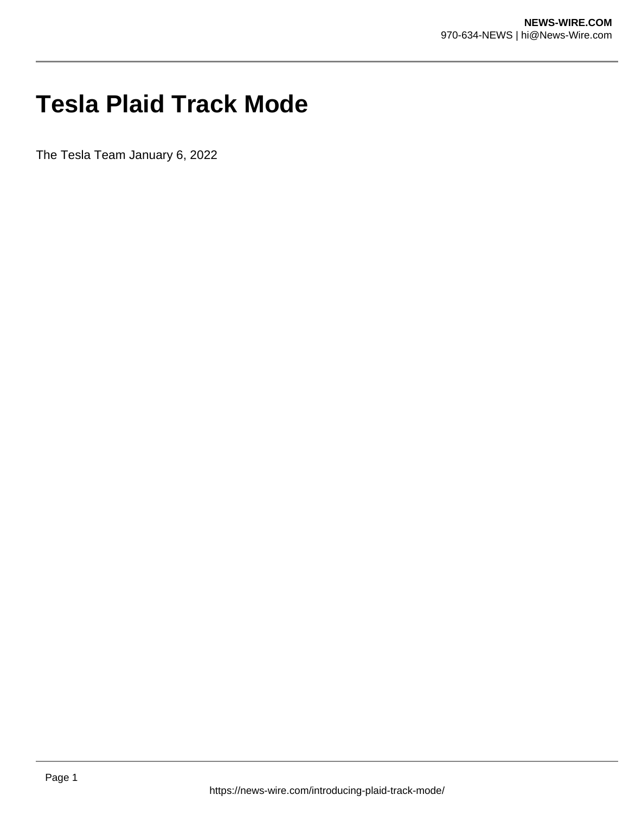## **Tesla Plaid Track Mode**

The Tesla Team January 6, 2022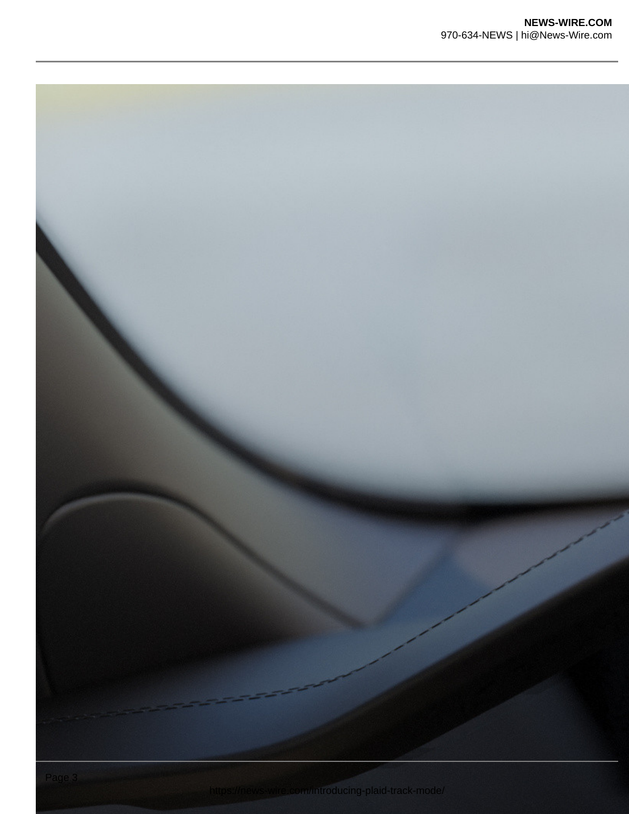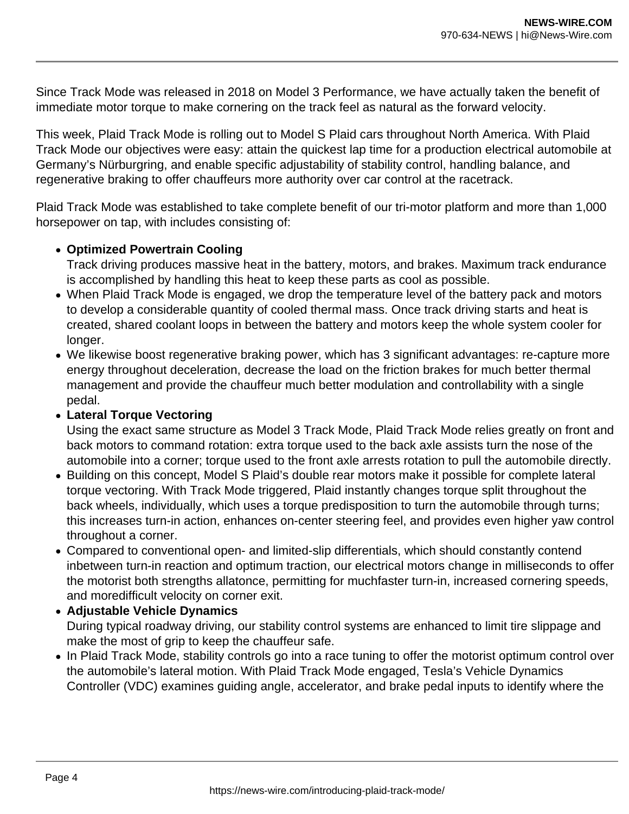Since Track Mode was released in 2018 on Model 3 Performance, we have actually taken the benefit of immediate motor torque to make cornering on the track feel as natural as the forward velocity.

This week, Plaid Track Mode is rolling out to Model S Plaid cars throughout North America. With Plaid Track Mode our objectives were easy: attain the quickest lap time for a production electrical automobile at Germany's Nürburgring, and enable specific adjustability of stability control, handling balance, and regenerative braking to offer chauffeurs more authority over car control at the racetrack.

Plaid Track Mode was established to take complete benefit of our tri-motor platform and more than 1,000 horsepower on tap, with includes consisting of:

## **Optimized Powertrain Cooling**

Track driving produces massive heat in the battery, motors, and brakes. Maximum track endurance is accomplished by handling this heat to keep these parts as cool as possible.

- When Plaid Track Mode is engaged, we drop the temperature level of the battery pack and motors to develop a considerable quantity of cooled thermal mass. Once track driving starts and heat is created, shared coolant loops in between the battery and motors keep the whole system cooler for longer.
- We likewise boost regenerative braking power, which has 3 significant advantages: re-capture more energy throughout deceleration, decrease the load on the friction brakes for much better thermal management and provide the chauffeur much better modulation and controllability with a single pedal.

## **Lateral Torque Vectoring**

Using the exact same structure as Model 3 Track Mode, Plaid Track Mode relies greatly on front and back motors to command rotation: extra torque used to the back axle assists turn the nose of the automobile into a corner; torque used to the front axle arrests rotation to pull the automobile directly.

- Building on this concept, Model S Plaid's double rear motors make it possible for complete lateral torque vectoring. With Track Mode triggered, Plaid instantly changes torque split throughout the back wheels, individually, which uses a torque predisposition to turn the automobile through turns; this increases turn-in action, enhances on-center steering feel, and provides even higher yaw control throughout a corner.
- Compared to conventional open- and limited-slip differentials, which should constantly contend inbetween turn-in reaction and optimum traction, our electrical motors change in milliseconds to offer the motorist both strengths allatonce, permitting for muchfaster turn-in, increased cornering speeds, and moredifficult velocity on corner exit.

## **Adjustable Vehicle Dynamics**

During typical roadway driving, our stability control systems are enhanced to limit tire slippage and make the most of grip to keep the chauffeur safe.

• In Plaid Track Mode, stability controls go into a race tuning to offer the motorist optimum control over the automobile's lateral motion. With Plaid Track Mode engaged, Tesla's Vehicle Dynamics Controller (VDC) examines guiding angle, accelerator, and brake pedal inputs to identify where the